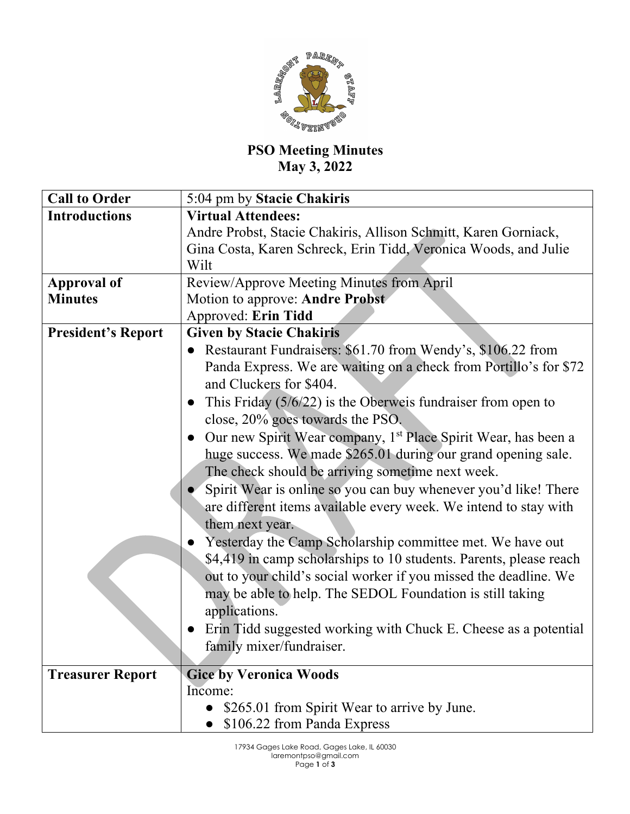

## **PSO Meeting Minutes May 3, 2022**

| <b>Call to Order</b>      | 5:04 pm by Stacie Chakiris                                                  |
|---------------------------|-----------------------------------------------------------------------------|
| <b>Introductions</b>      | <b>Virtual Attendees:</b>                                                   |
|                           | Andre Probst, Stacie Chakiris, Allison Schmitt, Karen Gorniack,             |
|                           | Gina Costa, Karen Schreck, Erin Tidd, Veronica Woods, and Julie             |
|                           | Wilt                                                                        |
| <b>Approval of</b>        | Review/Approve Meeting Minutes from April                                   |
| <b>Minutes</b>            | Motion to approve: Andre Probst                                             |
|                           | Approved: Erin Tidd                                                         |
| <b>President's Report</b> | <b>Given by Stacie Chakiris</b>                                             |
|                           | • Restaurant Fundraisers: \$61.70 from Wendy's, \$106.22 from               |
|                           | Panda Express. We are waiting on a check from Portillo's for \$72           |
|                           | and Cluckers for \$404.                                                     |
|                           | This Friday $(5/6/22)$ is the Oberweis fundraiser from open to<br>$\bullet$ |
|                           | close, 20% goes towards the PSO.                                            |
|                           | • Our new Spirit Wear company, $1st$ Place Spirit Wear, has been a          |
|                           | huge success. We made \$265.01 during our grand opening sale.               |
|                           | The check should be arriving sometime next week.                            |
|                           | Spirit Wear is online so you can buy whenever you'd like! There             |
|                           | are different items available every week. We intend to stay with            |
|                           | them next year.                                                             |
|                           | Yesterday the Camp Scholarship committee met. We have out                   |
|                           | \$4,419 in camp scholarships to 10 students. Parents, please reach          |
|                           | out to your child's social worker if you missed the deadline. We            |
|                           | may be able to help. The SEDOL Foundation is still taking                   |
|                           | applications.                                                               |
|                           | Erin Tidd suggested working with Chuck E. Cheese as a potential             |
|                           | family mixer/fundraiser.                                                    |
|                           |                                                                             |
| <b>Treasurer Report</b>   | <b>Gice by Veronica Woods</b>                                               |
|                           | Income:                                                                     |
|                           | \$265.01 from Spirit Wear to arrive by June.                                |
|                           | \$106.22 from Panda Express                                                 |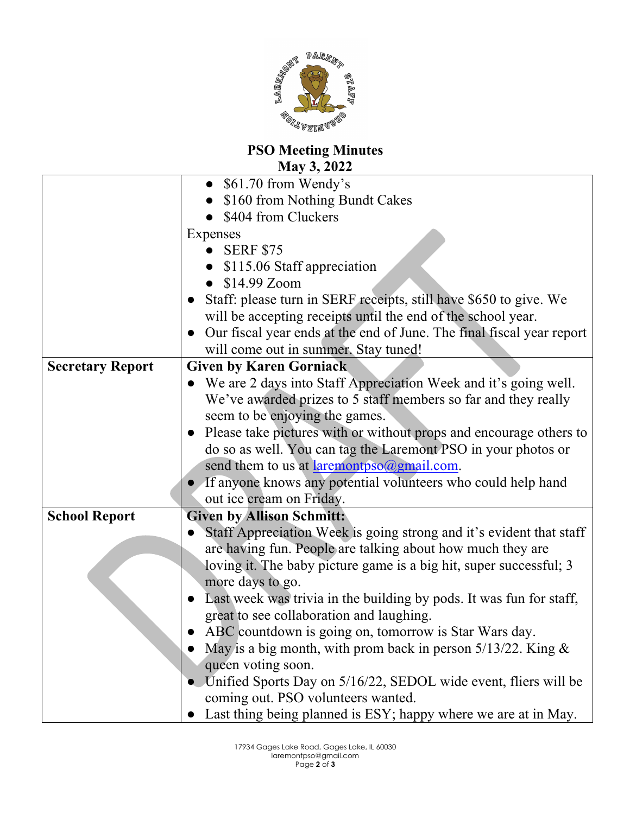

## **PSO Meeting Minutes May 3, 2022**

|                         | $\bullet$ \$61.70 from Wendy's                                                     |
|-------------------------|------------------------------------------------------------------------------------|
|                         | \$160 from Nothing Bundt Cakes                                                     |
|                         | \$404 from Cluckers                                                                |
|                         | Expenses                                                                           |
|                         | <b>SERF \$75</b>                                                                   |
|                         | \$115.06 Staff appreciation                                                        |
|                         | \$14.99 Zoom                                                                       |
|                         | Staff: please turn in SERF receipts, still have \$650 to give. We                  |
|                         | will be accepting receipts until the end of the school year.                       |
|                         | Our fiscal year ends at the end of June. The final fiscal year report<br>$\bullet$ |
|                         | will come out in summer. Stay tuned!                                               |
| <b>Secretary Report</b> | <b>Given by Karen Gorniack</b>                                                     |
|                         | • We are 2 days into Staff Appreciation Week and it's going well.                  |
|                         | We've awarded prizes to 5 staff members so far and they really                     |
|                         | seem to be enjoying the games.                                                     |
|                         | Please take pictures with or without props and encourage others to                 |
|                         | do so as well. You can tag the Laremont PSO in your photos or                      |
|                         | send them to us at laremontpso@gmail.com.                                          |
|                         | If anyone knows any potential volunteers who could help hand                       |
|                         | out ice cream on Friday.                                                           |
| <b>School Report</b>    | <b>Given by Allison Schmitt:</b>                                                   |
|                         | Staff Appreciation Week is going strong and it's evident that staff                |
|                         | are having fun. People are talking about how much they are                         |
|                         | loving it. The baby picture game is a big hit, super successful; 3                 |
|                         | more days to go.                                                                   |
|                         | Last week was trivia in the building by pods. It was fun for staff,                |
|                         | great to see collaboration and laughing.                                           |
|                         | ABC countdown is going on, tomorrow is Star Wars day.                              |
|                         | May is a big month, with prom back in person $5/13/22$ . King &                    |
|                         | queen voting soon.                                                                 |
|                         | • Unified Sports Day on 5/16/22, SEDOL wide event, fliers will be                  |
|                         | coming out. PSO volunteers wanted.                                                 |
|                         | • Last thing being planned is ESY; happy where we are at in May.                   |